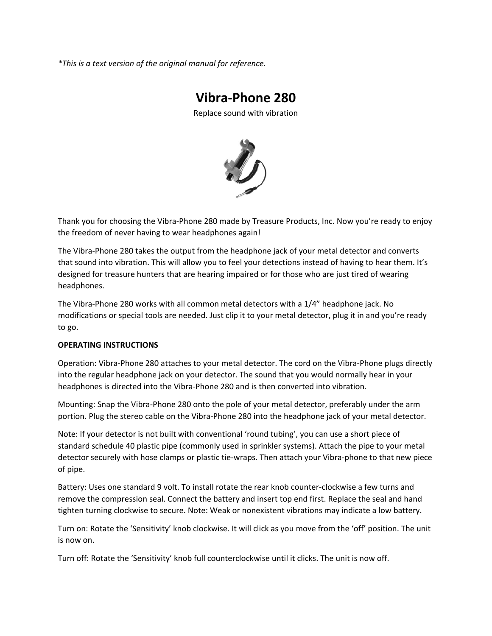*\*This is a text version of the original manual for reference.*

# **Vibra‐Phone 280**

Replace sound with vibration



Thank you for choosing the Vibra‐Phone 280 made by Treasure Products, Inc. Now you're ready to enjoy the freedom of never having to wear headphones again!

The Vibra-Phone 280 takes the output from the headphone jack of your metal detector and converts that sound into vibration. This will allow you to feel your detections instead of having to hear them. It's designed for treasure hunters that are hearing impaired or for those who are just tired of wearing headphones.

The Vibra‐Phone 280 works with all common metal detectors with a 1/4" headphone jack. No modifications or special tools are needed. Just clip it to your metal detector, plug it in and you're ready to go.

### **OPERATING INSTRUCTIONS**

Operation: Vibra‐Phone 280 attaches to your metal detector. The cord on the Vibra‐Phone plugs directly into the regular headphone jack on your detector. The sound that you would normally hear in your headphones is directed into the Vibra‐Phone 280 and is then converted into vibration.

Mounting: Snap the Vibra‐Phone 280 onto the pole of your metal detector, preferably under the arm portion. Plug the stereo cable on the Vibra-Phone 280 into the headphone jack of your metal detector.

Note: If your detector is not built with conventional 'round tubing', you can use a short piece of standard schedule 40 plastic pipe (commonly used in sprinkler systems). Attach the pipe to your metal detector securely with hose clamps or plastic tie‐wraps. Then attach your Vibra‐phone to that new piece of pipe.

Battery: Uses one standard 9 volt. To install rotate the rear knob counter‐clockwise a few turns and remove the compression seal. Connect the battery and insert top end first. Replace the seal and hand tighten turning clockwise to secure. Note: Weak or nonexistent vibrations may indicate a low battery.

Turn on: Rotate the 'Sensitivity' knob clockwise. It will click as you move from the 'off' position. The unit is now on.

Turn off: Rotate the 'Sensitivity' knob full counterclockwise until it clicks. The unit is now off.